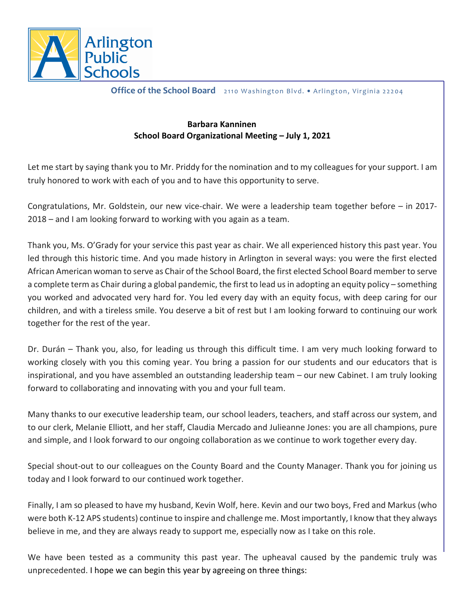

**Office of the School Board** 2110 Washington Blvd. • Arlington, Virginia 22204

## **Barbara Kanninen School Board Organizational Meeting – July 1, 2021**

Let me start by saying thank you to Mr. Priddy for the nomination and to my colleagues for your support. I am truly honored to work with each of you and to have this opportunity to serve.

Congratulations, Mr. Goldstein, our new vice-chair. We were a leadership team together before – in 2017- 2018 – and I am looking forward to working with you again as a team.

Thank you, Ms. O'Grady for your service this past year as chair. We all experienced history this past year. You led through this historic time. And you made history in Arlington in several ways: you were the first elected African American woman to serve as Chair of the School Board, the first elected School Board member to serve a complete term as Chair during a global pandemic, the first to lead us in adopting an equity policy – something you worked and advocated very hard for. You led every day with an equity focus, with deep caring for our children, and with a tireless smile. You deserve a bit of rest but I am looking forward to continuing our work together for the rest of the year.

Dr. Durán – Thank you, also, for leading us through this difficult time. I am very much looking forward to working closely with you this coming year. You bring a passion for our students and our educators that is inspirational, and you have assembled an outstanding leadership team – our new Cabinet. I am truly looking forward to collaborating and innovating with you and your full team.

Many thanks to our executive leadership team, our school leaders, teachers, and staff across our system, and to our clerk, Melanie Elliott, and her staff, Claudia Mercado and Julieanne Jones: you are all champions, pure and simple, and I look forward to our ongoing collaboration as we continue to work together every day.

Special shout-out to our colleagues on the County Board and the County Manager. Thank you for joining us today and I look forward to our continued work together.

Finally, I am so pleased to have my husband, Kevin Wolf, here. Kevin and our two boys, Fred and Markus (who were both K-12 APS students) continue to inspire and challenge me. Most importantly, I know that they always believe in me, and they are always ready to support me, especially now as I take on this role.

We have been tested as a community this past year. The upheaval caused by the pandemic truly was unprecedented. I hope we can begin this year by agreeing on three things: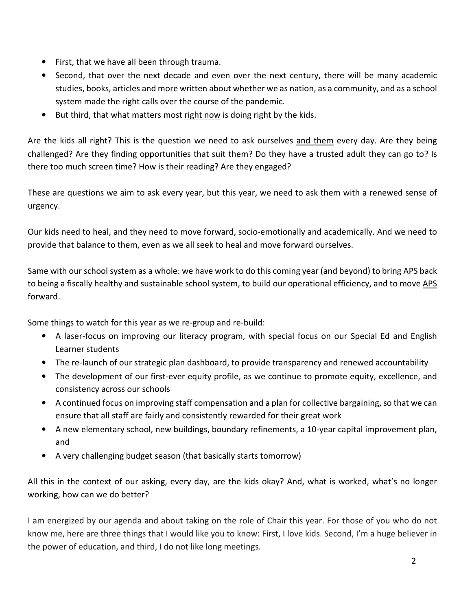- First, that we have all been through trauma.
- Second, that over the next decade and even over the next century, there will be many academic studies, books, articles and more written about whether we as nation, as a community, and as a school system made the right calls over the course of the pandemic.
- But third, that what matters most right now is doing right by the kids.

Are the kids all right? This is the question we need to ask ourselves and them every day. Are they being challenged? Are they finding opportunities that suit them? Do they have a trusted adult they can go to? Is there too much screen time? How is their reading? Are they engaged?

These are questions we aim to ask every year, but this year, we need to ask them with a renewed sense of urgency.

Our kids need to heal, and they need to move forward, socio-emotionally and academically. And we need to provide that balance to them, even as we all seek to heal and move forward ourselves.

Same with our school system as a whole: we have work to do this coming year (and beyond) to bring APS back to being a fiscally healthy and sustainable school system, to build our operational efficiency, and to move APS forward.

Some things to watch for this year as we re-group and re-build:

- A laser-focus on improving our literacy program, with special focus on our Special Ed and English Learner students
- The re-launch of our strategic plan dashboard, to provide transparency and renewed accountability
- The development of our first-ever equity profile, as we continue to promote equity, excellence, and consistency across our schools
- A continued focus on improving staff compensation and a plan for collective bargaining, so that we can ensure that all staff are fairly and consistently rewarded for their great work
- A new elementary school, new buildings, boundary refinements, a 10-year capital improvement plan, and
- A very challenging budget season (that basically starts tomorrow)

All this in the context of our asking, every day, are the kids okay? And, what is worked, what's no longer working, how can we do better?

I am energized by our agenda and about taking on the role of Chair this year. For those of you who do not know me, here are three things that I would like you to know: First, I love kids. Second, I'm a huge believer in the power of education, and third, I do not like long meetings.